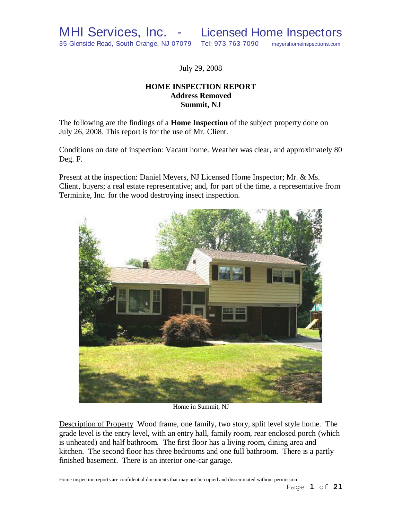July 29, 2008

# **HOME INSPECTION REPORT Address Removed Summit, NJ**

The following are the findings of a **Home Inspection** of the subject property done on July 26, 2008. This report is for the use of Mr. Client.

Conditions on date of inspection: Vacant home. Weather was clear, and approximately 80 Deg. F.

Present at the inspection: Daniel Meyers, NJ Licensed Home Inspector; Mr. & Ms. Client, buyers; a real estate representative; and, for part of the time, a representative from Terminite, Inc. for the wood destroying insect inspection.



Home in Summit, NJ

Description of Property Wood frame, one family, two story, split level style home. The grade level is the entry level, with an entry hall, family room, rear enclosed porch (which is unheated) and half bathroom. The first floor has a living room, dining area and kitchen. The second floor has three bedrooms and one full bathroom. There is a partly finished basement. There is an interior one-car garage.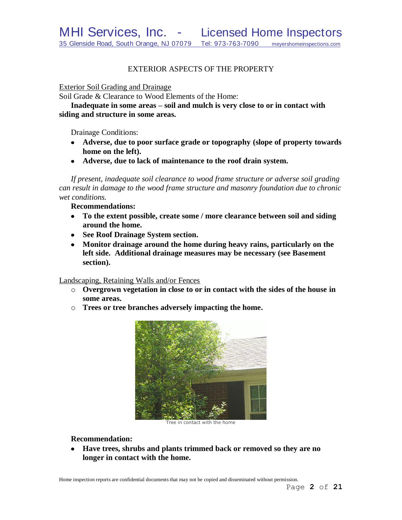# EXTERIOR ASPECTS OF THE PROPERTY

Exterior Soil Grading and Drainage

Soil Grade & Clearance to Wood Elements of the Home:

**Inadequate in some areas – soil and mulch is very close to or in contact with siding and structure in some areas.** 

Drainage Conditions:

- **Adverse, due to poor surface grade or topography (slope of property towards home on the left).**
- **Adverse, due to lack of maintenance to the roof drain system.**

*If present, inadequate soil clearance to wood frame structure or adverse soil grading can result in damage to the wood frame structure and masonry foundation due to chronic wet conditions.*

**Recommendations:**

- **To the extent possible, create some / more clearance between soil and siding around the home.**
- **See Roof Drainage System section.**
- **Monitor drainage around the home during heavy rains, particularly on the left side. Additional drainage measures may be necessary (see Basement section).**

Landscaping, Retaining Walls and/or Fences

- o **Overgrown vegetation in close to or in contact with the sides of the house in some areas.**
- o **Trees or tree branches adversely impacting the home.**



Tree in contact with the home

## **Recommendation:**

**Have trees, shrubs and plants trimmed back or removed so they are no longer in contact with the home.**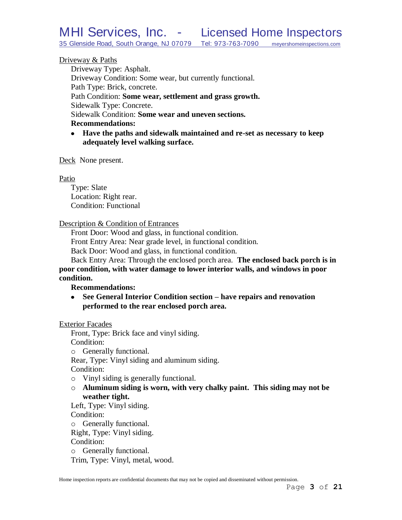# Driveway & Paths

Driveway Type: Asphalt. Driveway Condition: Some wear, but currently functional. Path Type: Brick, concrete. Path Condition: **Some wear, settlement and grass growth.** Sidewalk Type: Concrete. Sidewalk Condition: **Some wear and uneven sections. Recommendations:**

**Have the paths and sidewalk maintained and re-set as necessary to keep adequately level walking surface.**

Deck None present.

#### Patio

Type: Slate Location: Right rear. Condition: Functional

#### Description & Condition of Entrances

Front Door: Wood and glass, in functional condition.

Front Entry Area: Near grade level, in functional condition.

Back Door: Wood and glass, in functional condition.

Back Entry Area: Through the enclosed porch area. **The enclosed back porch is in poor condition, with water damage to lower interior walls, and windows in poor condition.**

## **Recommendations:**

**See General Interior Condition section – have repairs and renovation performed to the rear enclosed porch area.**

Exterior Facades

Front, Type: Brick face and vinyl siding. Condition:

o Generally functional.

Rear, Type: Vinyl siding and aluminum siding.

Condition:

- o Vinyl siding is generally functional.
- o **Aluminum siding is worn, with very chalky paint. This siding may not be weather tight.**

Left, Type: Vinyl siding.

Condition:

o Generally functional.

Right, Type: Vinyl siding.

Condition:

o Generally functional.

Trim, Type: Vinyl, metal, wood.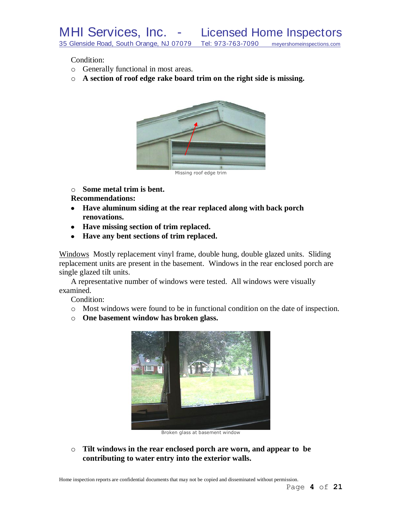Condition:

- o Generally functional in most areas.
- o **A section of roof edge rake board trim on the right side is missing.**



o **Some metal trim is bent.**

**Recommendations:**

- **Have aluminum siding at the rear replaced along with back porch renovations.**
- **Have missing section of trim replaced.**
- **Have any bent sections of trim replaced.**

Windows Mostly replacement vinyl frame, double hung, double glazed units. Sliding replacement units are present in the basement. Windows in the rear enclosed porch are single glazed tilt units.

A representative number of windows were tested. All windows were visually examined.

Condition:

- o Most windows were found to be in functional condition on the date of inspection.
- o **One basement window has broken glass.**



Broken glass at basement window

o **Tilt windows in the rear enclosed porch are worn, and appear to be contributing to water entry into the exterior walls.**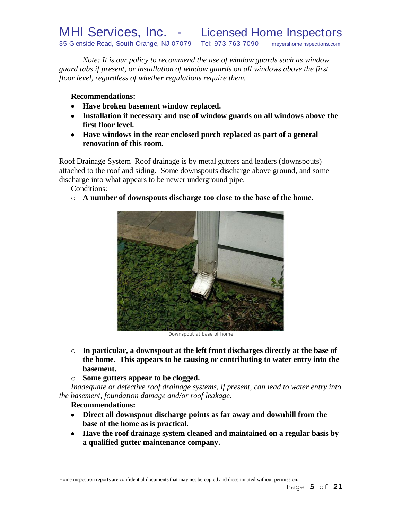*Note: It is our policy to recommend the use of window guards such as window guard tabs if present, or installation of window guards on all windows above the first floor level, regardless of whether regulations require them.*

**Recommendations:**

- **Have broken basement window replaced.**
- **Installation if necessary and use of window guards on all windows above the first floor level.**
- **Have windows in the rear enclosed porch replaced as part of a general renovation of this room.**

Roof Drainage System Roof drainage is by metal gutters and leaders (downspouts) attached to the roof and siding. Some downspouts discharge above ground, and some discharge into what appears to be newer underground pipe.

Conditions:

o **A number of downspouts discharge too close to the base of the home.**



Downspout at base of home

- o **In particular, a downspout at the left front discharges directly at the base of the home. This appears to be causing or contributing to water entry into the basement.**
- o **Some gutters appear to be clogged.**

*Inadequate or defective roof drainage systems, if present, can lead to water entry into the basement, foundation damage and/or roof leakage.*

# **Recommendations:**

- **Direct all downspout discharge points as far away and downhill from the base of the home as is practical.**
- **Have the roof drainage system cleaned and maintained on a regular basis by a qualified gutter maintenance company.**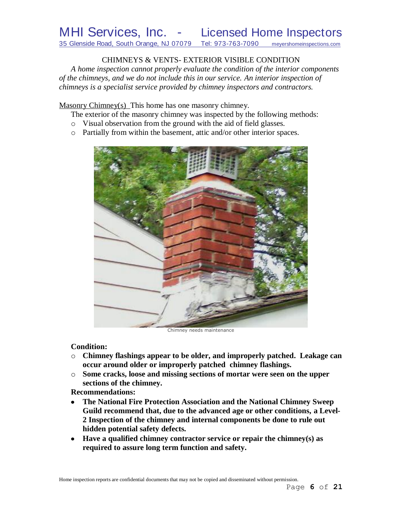# CHIMNEYS & VENTS- EXTERIOR VISIBLE CONDITION

*A home inspection cannot properly evaluate the condition of the interior components of the chimneys, and we do not include this in our service. An interior inspection of chimneys is a specialist service provided by chimney inspectors and contractors.*

Masonry Chimney(s) This home has one masonry chimney.

The exterior of the masonry chimney was inspected by the following methods:

- o Visual observation from the ground with the aid of field glasses.
- o Partially from within the basement, attic and/or other interior spaces.



Chimney needs maintenance

# **Condition:**

- o **Chimney flashings appear to be older, and improperly patched. Leakage can occur around older or improperly patched chimney flashings.**
- o **Some cracks, loose and missing sections of mortar were seen on the upper sections of the chimney.**

# **Recommendations:**

- **The National Fire Protection Association and the National Chimney Sweep Guild recommend that, due to the advanced age or other conditions, a Level-2 Inspection of the chimney and internal components be done to rule out hidden potential safety defects***.*
- **Have a qualified chimney contractor service or repair the chimney(s) as required to assure long term function and safety.**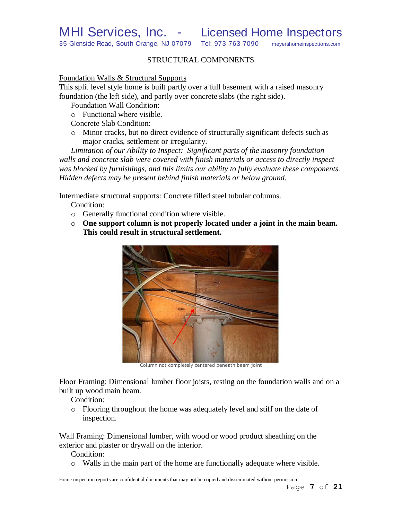# STRUCTURAL COMPONENTS

## Foundation Walls & Structural Supports

This split level style home is built partly over a full basement with a raised masonry foundation (the left side), and partly over concrete slabs (the right side).

Foundation Wall Condition:

o Functional where visible.

Concrete Slab Condition:

o Minor cracks, but no direct evidence of structurally significant defects such as major cracks, settlement or irregularity.

*Limitation of our Ability to Inspect: Significant parts of the masonry foundation walls and concrete slab were covered with finish materials or access to directly inspect was blocked by furnishings, and this limits our ability to fully evaluate these components. Hidden defects may be present behind finish materials or below ground.*

Intermediate structural supports: Concrete filled steel tubular columns.

Condition:

- o Generally functional condition where visible.
- o **One support column is not properly located under a joint in the main beam. This could result in structural settlement.**



Column not completely centered beneath beam joint

Floor Framing: Dimensional lumber floor joists, resting on the foundation walls and on a built up wood main beam.

Condition:

o Flooring throughout the home was adequately level and stiff on the date of inspection.

Wall Framing: Dimensional lumber, with wood or wood product sheathing on the exterior and plaster or drywall on the interior.

Condition:

 $\circ$  Walls in the main part of the home are functionally adequate where visible.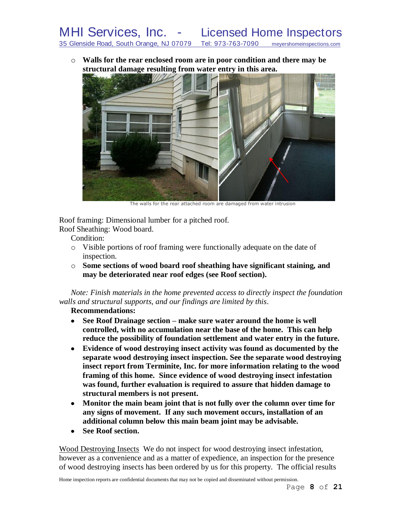o **Walls for the rear enclosed room are in poor condition and there may be structural damage resulting from water entry in this area.**



The walls for the rear attached room are damaged from water intrusion

Roof framing: Dimensional lumber for a pitched roof.

Roof Sheathing: Wood board.

Condition:

- o Visible portions of roof framing were functionally adequate on the date of inspection.
- o **Some sections of wood board roof sheathing have significant staining, and may be deteriorated near roof edges (see Roof section).**

*Note: Finish materials in the home prevented access to directly inspect the foundation walls and structural supports, and our findings are limited by this*.

**Recommendations:**

- **See Roof Drainage section – make sure water around the home is well controlled, with no accumulation near the base of the home. This can help reduce the possibility of foundation settlement and water entry in the future.**
- **Evidence of wood destroying insect activity was found as documented by the separate wood destroying insect inspection. See the separate wood destroying insect report from Terminite, Inc. for more information relating to the wood framing of this home. Since evidence of wood destroying insect infestation was found, further evaluation is required to assure that hidden damage to structural members is not present.**
- **Monitor the main beam joint that is not fully over the column over time for any signs of movement. If any such movement occurs, installation of an additional column below this main beam joint may be advisable.**
- **See Roof section.**  $\bullet$

Wood Destroying Insects We do not inspect for wood destroying insect infestation, however as a convenience and as a matter of expedience, an inspection for the presence of wood destroying insects has been ordered by us for this property. The official results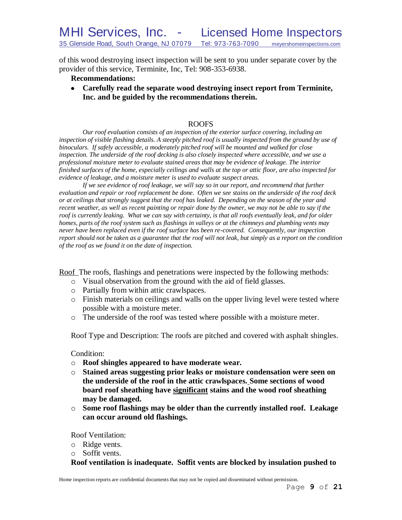of this wood destroying insect inspection will be sent to you under separate cover by the provider of this service, Terminite, Inc, Tel: 908-353-6938.

## **Recommendations:**

**Carefully read the separate wood destroying insect report from Terminite, Inc. and be guided by the recommendations therein.**

#### ROOFS

*Our roof evaluation consists of an inspection of the exterior surface covering, including an*  inspection of visible flashing details. A steeply pitched roof is usually inspected from the ground by use of *binoculars. If safely accessible, a moderately pitched roof will be mounted and walked for close inspection. The underside of the roof decking is also closely inspected where accessible, and we use a professional moisture meter to evaluate stained areas that may be evidence of leakage. The interior finished surfaces of the home, especially ceilings and walls at the top or attic floor, are also inspected for evidence of leakage, and a moisture meter is used to evaluate suspect areas.*

*If we see evidence of roof leakage, we will say so in our report, and recommend that further evaluation and repair or roof replacement be done. Often we see stains on the underside of the roof deck or at ceilings that strongly suggest that the roof has leaked. Depending on the season of the year and recent weather, as well as recent painting or repair done by the owner, we may not be able to say if the roof is currently leaking. What we can say with certainty, is that all roofs eventually leak, and for older homes, parts of the roof system such as flashings in valleys or at the chimneys and plumbing vents may never have been replaced even if the roof surface has been re-covered. Consequently, our inspection report should not be taken as a guarantee that the roof will not leak, but simply as a report on the condition of the roof as we found it on the date of inspection.*

Roof The roofs, flashings and penetrations were inspected by the following methods:

- o Visual observation from the ground with the aid of field glasses.
- o Partially from within attic crawlspaces.
- o Finish materials on ceilings and walls on the upper living level were tested where possible with a moisture meter.
- o The underside of the roof was tested where possible with a moisture meter.

Roof Type and Description: The roofs are pitched and covered with asphalt shingles.

#### Condition:

- o **Roof shingles appeared to have moderate wear.**
- o **Stained areas suggesting prior leaks or moisture condensation were seen on the underside of the roof in the attic crawlspaces. Some sections of wood board roof sheathing have significant stains and the wood roof sheathing may be damaged.**
- o **Some roof flashings may be older than the currently installed roof. Leakage can occur around old flashings.**

Roof Ventilation:

- o Ridge vents.
- o Soffit vents.

## **Roof ventilation is inadequate. Soffit vents are blocked by insulation pushed to**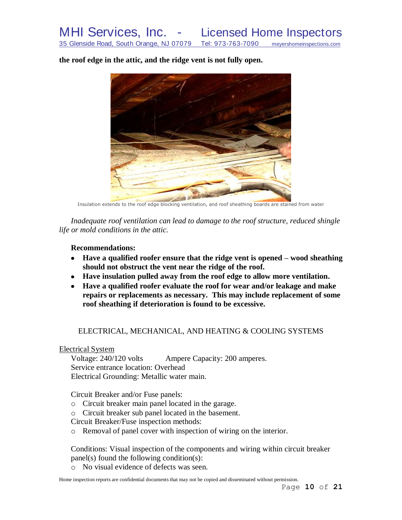**the roof edge in the attic, and the ridge vent is not fully open.**

Insulation extends to the roof edge blocking ventilation, and roof sheathing boards are stained from water

*Inadequate roof ventilation can lead to damage to the roof structure, reduced shingle life or mold conditions in the attic.*

**Recommendations:**

- **Have a qualified roofer ensure that the ridge vent is opened – wood sheathing should not obstruct the vent near the ridge of the roof.**
- **Have insulation pulled away from the roof edge to allow more ventilation.**
- **Have a qualified roofer evaluate the roof for wear and/or leakage and make repairs or replacements as necessary. This may include replacement of some roof sheathing if deterioration is found to be excessive.**

## ELECTRICAL, MECHANICAL, AND HEATING & COOLING SYSTEMS

Electrical System

Voltage: 240/120 volts Ampere Capacity: 200 amperes. Service entrance location: Overhead Electrical Grounding: Metallic water main.

Circuit Breaker and/or Fuse panels:

- o Circuit breaker main panel located in the garage.
- o Circuit breaker sub panel located in the basement.
- Circuit Breaker/Fuse inspection methods:
- o Removal of panel cover with inspection of wiring on the interior.

Conditions: Visual inspection of the components and wiring within circuit breaker panel(s) found the following condition(s):

o No visual evidence of defects was seen.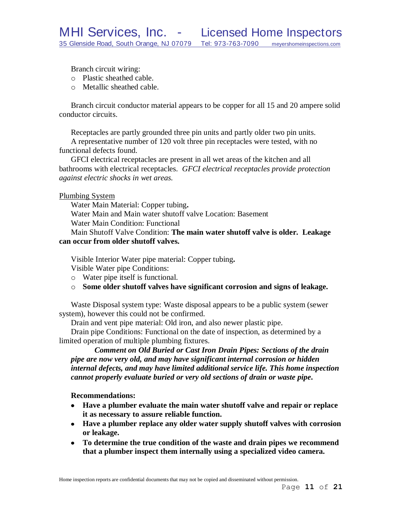Branch circuit wiring:

- o Plastic sheathed cable.
- o Metallic sheathed cable.

Branch circuit conductor material appears to be copper for all 15 and 20 ampere solid conductor circuits.

Receptacles are partly grounded three pin units and partly older two pin units.

A representative number of 120 volt three pin receptacles were tested, with no functional defects found.

GFCI electrical receptacles are present in all wet areas of the kitchen and all bathrooms with electrical receptacles. *GFCI electrical receptacles provide protection against electric shocks in wet areas.*

## Plumbing System

Water Main Material: Copper tubing**.** Water Main and Main water shutoff valve Location: Basement

Water Main Condition: Functional

Main Shutoff Valve Condition: **The main water shutoff valve is older. Leakage can occur from older shutoff valves.**

Visible Interior Water pipe material: Copper tubing**.**

Visible Water pipe Conditions:

- o Water pipe itself is functional.
- o **Some older shutoff valves have significant corrosion and signs of leakage.**

Waste Disposal system type: Waste disposal appears to be a public system (sewer system), however this could not be confirmed.

Drain and vent pipe material: Old iron, and also newer plastic pipe.

Drain pipe Conditions: Functional on the date of inspection, as determined by a limited operation of multiple plumbing fixtures.

*Comment on Old Buried or Cast Iron Drain Pipes: Sections of the drain pipe are now very old, and may have significant internal corrosion or hidden internal defects, and may have limited additional service life. This home inspection cannot properly evaluate buried or very old sections of drain or waste pipe.*

**Recommendations:**

- **Have a plumber evaluate the main water shutoff valve and repair or replace it as necessary to assure reliable function.**
- **Have a plumber replace any older water supply shutoff valves with corrosion or leakage.**
- **To determine the true condition of the waste and drain pipes we recommend that a plumber inspect them internally using a specialized video camera.**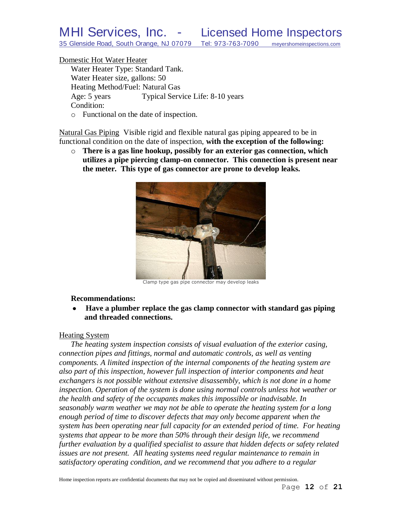#### Domestic Hot Water Heater

Water Heater Type: Standard Tank. Water Heater size, gallons: 50 Heating Method/Fuel: Natural Gas Age: 5 years Typical Service Life: 8-10 years Condition:

o Functional on the date of inspection.

Natural Gas Piping Visible rigid and flexible natural gas piping appeared to be in functional condition on the date of inspection, **with the exception of the following:**

o **There is a gas line hookup, possibly for an exterior gas connection, which utilizes a pipe piercing clamp-on connector. This connection is present near the meter. This type of gas connector are prone to develop leaks.**



Clamp type gas pipe connector may develop leaks

#### **Recommendations:**

**Have a plumber replace the gas clamp connector with standard gas piping**   $\bullet$ **and threaded connections.**

#### Heating System

*The heating system inspection consists of visual evaluation of the exterior casing, connection pipes and fittings, normal and automatic controls, as well as venting components. A limited inspection of the internal components of the heating system are also part of this inspection, however full inspection of interior components and heat exchangers is not possible without extensive disassembly, which is not done in a home inspection. Operation of the system is done using normal controls unless hot weather or the health and safety of the occupants makes this impossible or inadvisable. In seasonably warm weather we may not be able to operate the heating system for a long enough period of time to discover defects that may only become apparent when the system has been operating near full capacity for an extended period of time. For heating systems that appear to be more than 50% through their design life, we recommend further evaluation by a qualified specialist to assure that hidden defects or safety related issues are not present. All heating systems need regular maintenance to remain in satisfactory operating condition, and we recommend that you adhere to a regular*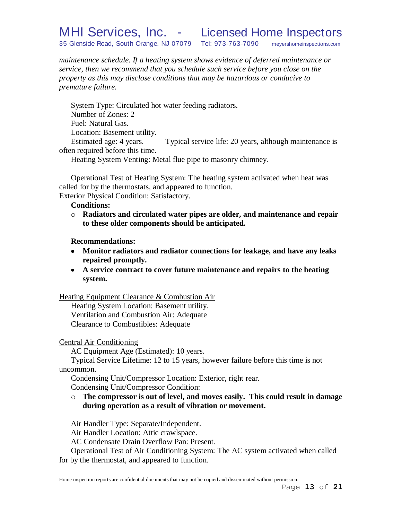# MHI Services, Inc. - Licensed Home Inspectors 35 Glenside Road, South Orange, NJ 07079 Tel: 973-763-7090 meyershomeinspections.com

*maintenance schedule. If a heating system shows evidence of deferred maintenance or service, then we recommend that you schedule such service before you close on the property as this may disclose conditions that may be hazardous or conducive to premature failure.*

System Type: Circulated hot water feeding radiators. Number of Zones: 2 Fuel: Natural Gas. Location: Basement utility. Estimated age: 4 years. Typical service life: 20 years, although maintenance is

often required before this time.

Heating System Venting: Metal flue pipe to masonry chimney.

Operational Test of Heating System: The heating system activated when heat was called for by the thermostats, and appeared to function. Exterior Physical Condition: Satisfactory.

**Conditions:**

o **Radiators and circulated water pipes are older, and maintenance and repair to these older components should be anticipated.**

## **Recommendations:**

- **Monitor radiators and radiator connections for leakage, and have any leaks repaired promptly.**
- **A service contract to cover future maintenance and repairs to the heating system.**

Heating Equipment Clearance & Combustion Air

Heating System Location: Basement utility. Ventilation and Combustion Air: Adequate Clearance to Combustibles: Adequate

# Central Air Conditioning

AC Equipment Age (Estimated): 10 years.

Typical Service Lifetime: 12 to 15 years, however failure before this time is not uncommon.

Condensing Unit/Compressor Location: Exterior, right rear. Condensing Unit/Compressor Condition:

o **The compressor is out of level, and moves easily. This could result in damage during operation as a result of vibration or movement.**

Air Handler Type: Separate/Independent.

Air Handler Location: Attic crawlspace.

AC Condensate Drain Overflow Pan: Present.

Operational Test of Air Conditioning System: The AC system activated when called for by the thermostat, and appeared to function.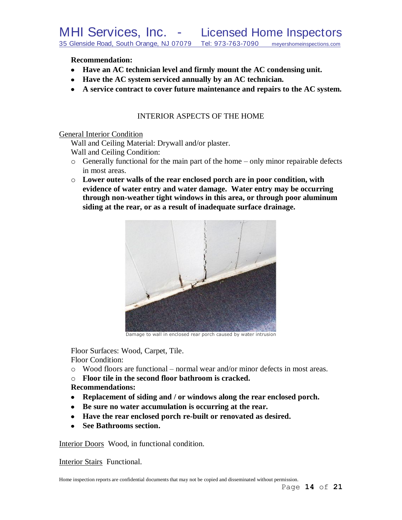**Recommendation:**

- **Have an AC technician level and firmly mount the AC condensing unit.**
- **Have the AC system serviced annually by an AC technician.**
- **A service contract to cover future maintenance and repairs to the AC system.**

# INTERIOR ASPECTS OF THE HOME

General Interior Condition

Wall and Ceiling Material: Drywall and/or plaster. Wall and Ceiling Condition:

- o Generally functional for the main part of the home only minor repairable defects in most areas.
- o **Lower outer walls of the rear enclosed porch are in poor condition, with evidence of water entry and water damage. Water entry may be occurring through non-weather tight windows in this area, or through poor aluminum siding at the rear, or as a result of inadequate surface drainage.**



Damage to wall in enclosed rear porch caused by water intrusion

Floor Surfaces: Wood, Carpet, Tile. Floor Condition:

- $\circ$  Wood floors are functional normal wear and/or minor defects in most areas.
- o **Floor tile in the second floor bathroom is cracked.**

# **Recommendations:**

- **Replacement of siding and / or windows along the rear enclosed porch.**
- **Be sure no water accumulation is occurring at the rear.**
- **Have the rear enclosed porch re-built or renovated as desired.**
- **See Bathrooms section.**

Interior Doors Wood, in functional condition.

Interior Stairs Functional.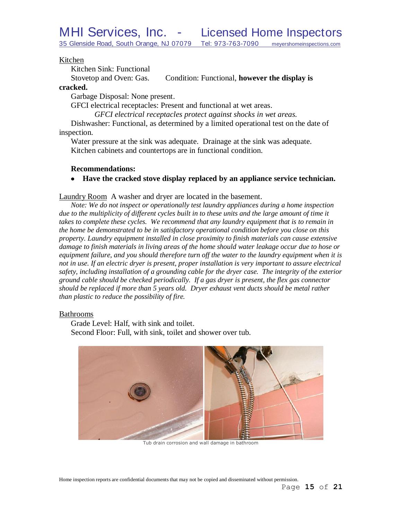#### Kitchen

Kitchen Sink: Functional

Stovetop and Oven: Gas. Condition: Functional, **however the display is** 

#### **cracked.**

Garbage Disposal: None present.

GFCI electrical receptacles: Present and functional at wet areas.

*GFCI electrical receptacles protect against shocks in wet areas.*

Dishwasher: Functional, as determined by a limited operational test on the date of inspection.

Water pressure at the sink was adequate. Drainage at the sink was adequate. Kitchen cabinets and countertops are in functional condition.

#### **Recommendations:**

**Have the cracked stove display replaced by an appliance service technician.**  $\bullet$ 

#### Laundry Room A washer and dryer are located in the basement.

*Note: We do not inspect or operationally test laundry appliances during a home inspection*  due to the multiplicity of different cycles built in to these units and the large amount of time it *takes to complete these cycles. We recommend that any laundry equipment that is to remain in the home be demonstrated to be in satisfactory operational condition before you close on this property. Laundry equipment installed in close proximity to finish materials can cause extensive damage to finish materials in living areas of the home should water leakage occur due to hose or equipment failure, and you should therefore turn off the water to the laundry equipment when it is not in use. If an electric dryer is present, proper installation is very important to assure electrical safety, including installation of a grounding cable for the dryer case. The integrity of the exterior ground cable should be checked periodically. If a gas dryer is present, the flex gas connector should be replaced if more than 5 years old. Dryer exhaust vent ducts should be metal rather than plastic to reduce the possibility of fire.*

#### Bathrooms

Grade Level: Half, with sink and toilet. Second Floor: Full, with sink, toilet and shower over tub.



Tub drain corrosion and wall damage in bathroom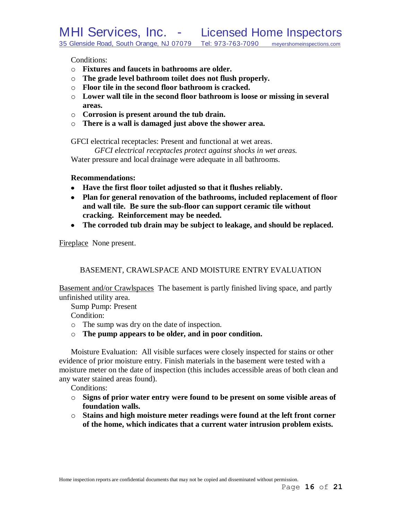Conditions:

- o **Fixtures and faucets in bathrooms are older.**
- o **The grade level bathroom toilet does not flush properly.**
- o **Floor tile in the second floor bathroom is cracked.**
- o **Lower wall tile in the second floor bathroom is loose or missing in several areas.**
- o **Corrosion is present around the tub drain.**
- o **There is a wall is damaged just above the shower area.**

GFCI electrical receptacles: Present and functional at wet areas.

*GFCI electrical receptacles protect against shocks in wet areas.* Water pressure and local drainage were adequate in all bathrooms.

## **Recommendations:**

- **Have the first floor toilet adjusted so that it flushes reliably.**
- **Plan for general renovation of the bathrooms, included replacement of floor and wall tile. Be sure the sub-floor can support ceramic tile without cracking. Reinforcement may be needed.**
- **The corroded tub drain may be subject to leakage, and should be replaced.**

Fireplace None present.

BASEMENT, CRAWLSPACE AND MOISTURE ENTRY EVALUATION

Basement and/or Crawlspaces The basement is partly finished living space, and partly unfinished utility area.

Sump Pump: Present

Condition:

- o The sump was dry on the date of inspection.
- o **The pump appears to be older, and in poor condition.**

Moisture Evaluation: All visible surfaces were closely inspected for stains or other evidence of prior moisture entry. Finish materials in the basement were tested with a moisture meter on the date of inspection (this includes accessible areas of both clean and any water stained areas found).

Conditions:

- o **Signs of prior water entry were found to be present on some visible areas of foundation walls.**
- o **Stains and high moisture meter readings were found at the left front corner of the home, which indicates that a current water intrusion problem exists.**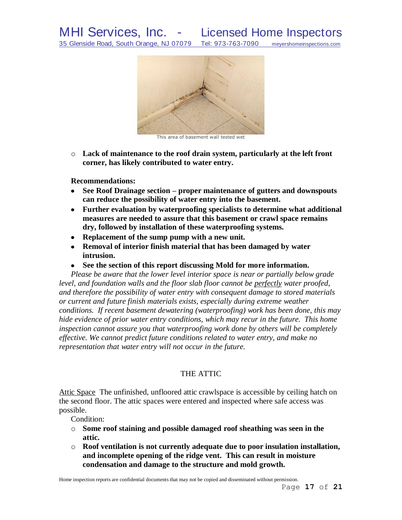

This area of basement wall tested wet

o **Lack of maintenance to the roof drain system, particularly at the left front corner, has likely contributed to water entry.**

**Recommendations:**

- **See Roof Drainage section – proper maintenance of gutters and downspouts can reduce the possibility of water entry into the basement.**
- **Further evaluation by waterproofing specialists to determine what additional measures are needed to assure that this basement or crawl space remains dry, followed by installation of these waterproofing systems.**
- **Replacement of the sump pump with a new unit.**
- **Removal of interior finish material that has been damaged by water intrusion.**
- **See the section of this report discussing Mold for more information.**  $\bullet$

*Please be aware that the lower level interior space is near or partially below grade level, and foundation walls and the floor slab floor cannot be perfectly water proofed, and therefore the possibility of water entry with consequent damage to stored materials or current and future finish materials exists, especially during extreme weather conditions. If recent basement dewatering (waterproofing) work has been done, this may hide evidence of prior water entry conditions, which may recur in the future. This home inspection cannot assure you that waterproofing work done by others will be completely effective. We cannot predict future conditions related to water entry, and make no representation that water entry will not occur in the future.*

# THE ATTIC

Attic Space The unfinished, unfloored attic crawlspace is accessible by ceiling hatch on the second floor. The attic spaces were entered and inspected where safe access was possible.

Condition:

- o **Some roof staining and possible damaged roof sheathing was seen in the attic.**
- o **Roof ventilation is not currently adequate due to poor insulation installation, and incomplete opening of the ridge vent. This can result in moisture condensation and damage to the structure and mold growth.**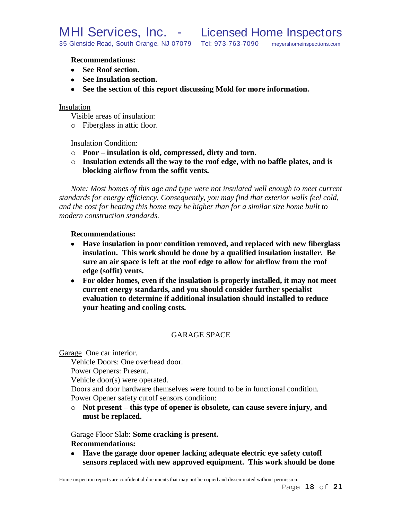#### **Recommendations:**

- **See Roof section.**
- See Insulation section.
- **See the section of this report discussing Mold for more information.**

#### Insulation

Visible areas of insulation:

o Fiberglass in attic floor.

Insulation Condition:

- o **Poor – insulation is old, compressed, dirty and torn.**
- o **Insulation extends all the way to the roof edge, with no baffle plates, and is blocking airflow from the soffit vents.**

*Note: Most homes of this age and type were not insulated well enough to meet current standards for energy efficiency. Consequently, you may find that exterior walls feel cold, and the cost for heating this home may be higher than for a similar size home built to modern construction standards.*

#### **Recommendations:**

- **Have insulation in poor condition removed, and replaced with new fiberglass insulation. This work should be done by a qualified insulation installer. Be sure an air space is left at the roof edge to allow for airflow from the roof edge (soffit) vents.**
- **For older homes, even if the insulation is properly installed, it may not meet current energy standards, and you should consider further specialist evaluation to determine if additional insulation should installed to reduce your heating and cooling costs.**

## GARAGE SPACE

Garage One car interior.

Vehicle Doors: One overhead door.

Power Openers: Present.

Vehicle door(s) were operated.

Doors and door hardware themselves were found to be in functional condition. Power Opener safety cutoff sensors condition:

o **Not present – this type of opener is obsolete, can cause severe injury, and must be replaced.**

Garage Floor Slab: **Some cracking is present.**

## **Recommendations:**

**Have the garage door opener lacking adequate electric eye safety cutoff sensors replaced with new approved equipment. This work should be done**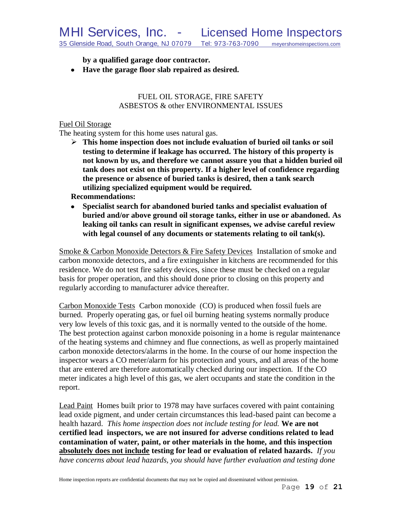**by a qualified garage door contractor.**

**Have the garage floor slab repaired as desired.**

## FUEL OIL STORAGE, FIRE SAFETY ASBESTOS & other ENVIRONMENTAL ISSUES

## Fuel Oil Storage

The heating system for this home uses natural gas.

 **This home inspection does not include evaluation of buried oil tanks or soil testing to determine if leakage has occurred. The history of this property is not known by us, and therefore we cannot assure you that a hidden buried oil tank does not exist on this property. If a higher level of confidence regarding the presence or absence of buried tanks is desired, then a tank search utilizing specialized equipment would be required.**

# **Recommendations:**

**Specialist search for abandoned buried tanks and specialist evaluation of**   $\bullet$ **buried and/or above ground oil storage tanks, either in use or abandoned. As leaking oil tanks can result in significant expenses, we advise careful review with legal counsel of any documents or statements relating to oil tank(s).** 

Smoke & Carbon Monoxide Detectors & Fire Safety Devices Installation of smoke and carbon monoxide detectors, and a fire extinguisher in kitchens are recommended for this residence. We do not test fire safety devices, since these must be checked on a regular basis for proper operation, and this should done prior to closing on this property and regularly according to manufacturer advice thereafter.

Carbon Monoxide Tests Carbon monoxide (CO) is produced when fossil fuels are burned. Properly operating gas, or fuel oil burning heating systems normally produce very low levels of this toxic gas, and it is normally vented to the outside of the home. The best protection against carbon monoxide poisoning in a home is regular maintenance of the heating systems and chimney and flue connections, as well as properly maintained carbon monoxide detectors/alarms in the home. In the course of our home inspection the inspector wears a CO meter/alarm for his protection and yours, and all areas of the home that are entered are therefore automatically checked during our inspection. If the CO meter indicates a high level of this gas, we alert occupants and state the condition in the report.

Lead Paint Homes built prior to 1978 may have surfaces covered with paint containing lead oxide pigment, and under certain circumstances this lead-based paint can become a health hazard. *This home inspection does not include testing for lead.* **We are not certified lead inspectors, we are not insured for adverse conditions related to lead contamination of water, paint, or other materials in the home, and this inspection absolutely does not include testing for lead or evaluation of related hazards.** *If you have concerns about lead hazards, you should have further evaluation and testing done*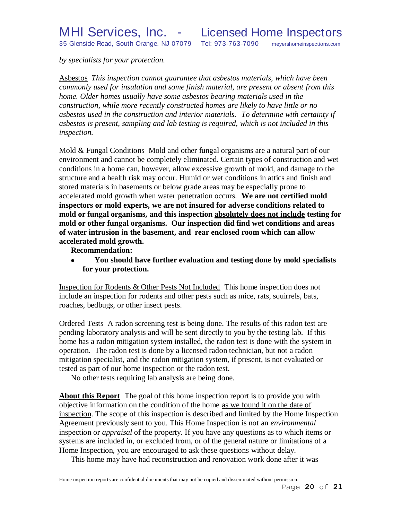*by specialists for your protection.*

Asbestos *This inspection cannot guarantee that asbestos materials, which have been commonly used for insulation and some finish material, are present or absent from this home. Older homes usually have some asbestos bearing materials used in the construction, while more recently constructed homes are likely to have little or no asbestos used in the construction and interior materials. To determine with certainty if asbestos is present, sampling and lab testing is required, which is not included in this inspection.* 

Mold & Fungal Conditions Mold and other fungal organisms are a natural part of our environment and cannot be completely eliminated. Certain types of construction and wet conditions in a home can, however, allow excessive growth of mold, and damage to the structure and a health risk may occur. Humid or wet conditions in attics and finish and stored materials in basements or below grade areas may be especially prone to accelerated mold growth when water penetration occurs. **We are not certified mold inspectors or mold experts, we are not insured for adverse conditions related to mold or fungal organisms, and this inspection absolutely does not include testing for mold or other fungal organisms. Our inspection did find wet conditions and areas of water intrusion in the basement, and rear enclosed room which can allow accelerated mold growth.**

**Recommendation:**

**You should have further evaluation and testing done by mold specialists**  $\bullet$ **for your protection.**

Inspection for Rodents & Other Pests Not Included This home inspection does not include an inspection for rodents and other pests such as mice, rats, squirrels, bats, roaches, bedbugs, or other insect pests.

Ordered Tests A radon screening test is being done. The results of this radon test are pending laboratory analysis and will be sent directly to you by the testing lab. If this home has a radon mitigation system installed, the radon test is done with the system in operation. The radon test is done by a licensed radon technician, but not a radon mitigation specialist, and the radon mitigation system, if present, is not evaluated or tested as part of our home inspection or the radon test.

No other tests requiring lab analysis are being done.

**About this Report** The goal of this home inspection report is to provide you with objective information on the condition of the home as we found it on the date of inspection. The scope of this inspection is described and limited by the Home Inspection Agreement previously sent to you. This Home Inspection is not an *environmental* inspection or *appraisal* of the property. If you have any questions as to which items or systems are included in, or excluded from, or of the general nature or limitations of a Home Inspection, you are encouraged to ask these questions without delay.

This home may have had reconstruction and renovation work done after it was